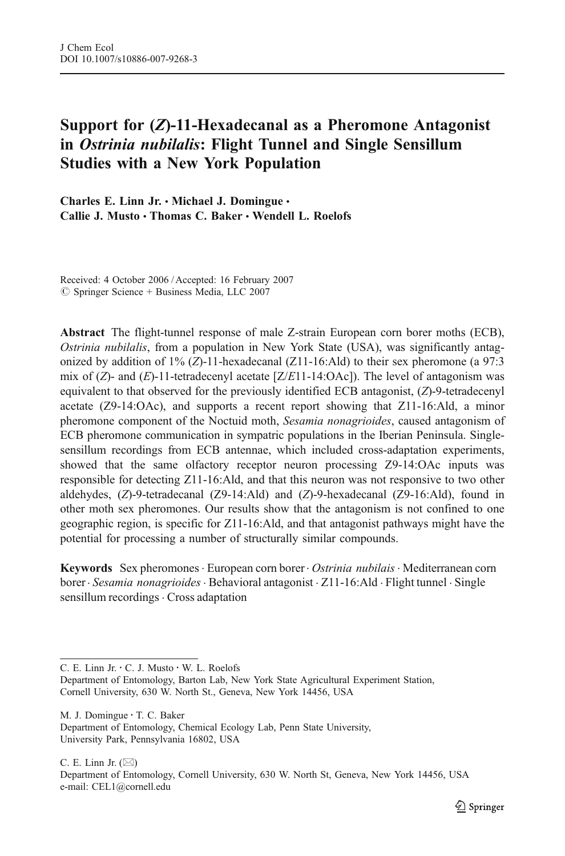# Support for (Z)-11-Hexadecanal as a Pheromone Antagonist in Ostrinia nubilalis: Flight Tunnel and Single Sensillum Studies with a New York Population

Charles E. Linn Jr. • Michael J. Domingue • Callie J. Musto · Thomas C. Baker · Wendell L. Roelofs

Received: 4 October 2006 / Accepted: 16 February 2007  $\oslash$  Springer Science + Business Media, LLC 2007

Abstract The flight-tunnel response of male Z-strain European corn borer moths (ECB), Ostrinia nubilalis, from a population in New York State (USA), was significantly antagonized by addition of 1% (Z)-11-hexadecanal (Z11-16:Ald) to their sex pheromone (a 97:3 mix of  $(Z)$ - and  $(E)$ -11-tetradecenyl acetate  $[Z/E11$ -14:OAc]). The level of antagonism was equivalent to that observed for the previously identified ECB antagonist, (Z)-9-tetradecenyl acetate (Z9-14:OAc), and supports a recent report showing that Z11-16:Ald, a minor pheromone component of the Noctuid moth, Sesamia nonagrioides, caused antagonism of ECB pheromone communication in sympatric populations in the Iberian Peninsula. Singlesensillum recordings from ECB antennae, which included cross-adaptation experiments, showed that the same olfactory receptor neuron processing Z9-14:OAc inputs was responsible for detecting Z11-16:Ald, and that this neuron was not responsive to two other aldehydes, (Z)-9-tetradecanal (Z9-14:Ald) and (Z)-9-hexadecanal (Z9-16:Ald), found in other moth sex pheromones. Our results show that the antagonism is not confined to one geographic region, is specific for Z11-16:Ald, and that antagonist pathways might have the potential for processing a number of structurally similar compounds.

Keywords Sex pheromones · European corn borer · Ostrinia nubilais · Mediterranean corn borer · Sesamia nonagrioides · Behavioral antagonist · Z11-16:Ald · Flight tunnel · Single sensillum recordings . Cross adaptation

M. J. Domingue : T. C. Baker

C. E. Linn Jr.  $(\boxtimes)$ 

Department of Entomology, Cornell University, 630 W. North St, Geneva, New York 14456, USA e-mail: CEL1@cornell.edu

C. E. Linn Jr.: C. J. Musto : W. L. Roelofs

Department of Entomology, Barton Lab, New York State Agricultural Experiment Station, Cornell University, 630 W. North St., Geneva, New York 14456, USA

Department of Entomology, Chemical Ecology Lab, Penn State University, University Park, Pennsylvania 16802, USA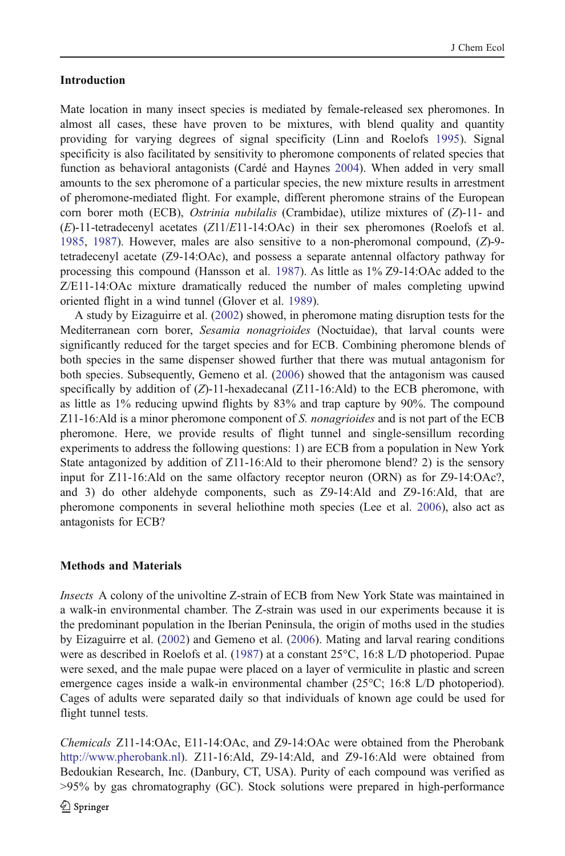## Introduction

Mate location in many insect species is mediated by female-released sex pheromones. In almost all cases, these have proven to be mixtures, with blend quality and quantity providing for varying degrees of signal specificity (Linn and Roelofs [1995\)](#page-12-0). Signal specificity is also facilitated by sensitivity to pheromone components of related species that function as behavioral antagonists (Cardé and Haynes [2004\)](#page-11-0). When added in very small amounts to the sex pheromone of a particular species, the new mixture results in arrestment of pheromone-mediated flight. For example, different pheromone strains of the European corn borer moth (ECB), *Ostrinia nubilalis* (Crambidae), utilize mixtures of  $(Z)$ -11- and  $(E)$ -11-tetradecenyl acetates  $(Z11/E11-14:OAc)$  in their sex pheromones (Roelofs et al. [1985,](#page-12-0) [1987](#page-12-0)). However, males are also sensitive to a non-pheromonal compound, (Z)-9 tetradecenyl acetate (Z9-14:OAc), and possess a separate antennal olfactory pathway for processing this compound (Hansson et al. [1987](#page-12-0)). As little as 1% Z9-14:OAc added to the Z/E11-14:OAc mixture dramatically reduced the number of males completing upwind oriented flight in a wind tunnel (Glover et al. [1989](#page-11-0)).

A study by Eizaguirre et al. [\(2002](#page-11-0)) showed, in pheromone mating disruption tests for the Mediterranean corn borer, Sesamia nonagrioides (Noctuidae), that larval counts were significantly reduced for the target species and for ECB. Combining pheromone blends of both species in the same dispenser showed further that there was mutual antagonism for both species. Subsequently, Gemeno et al. ([2006](#page-11-0)) showed that the antagonism was caused specifically by addition of  $(Z)$ -11-hexadecanal  $(Z)$ 11-16:Ald) to the ECB pheromone, with as little as 1% reducing upwind flights by 83% and trap capture by 90%. The compound Z11-16:Ald is a minor pheromone component of S. nonagrioides and is not part of the ECB pheromone. Here, we provide results of flight tunnel and single-sensillum recording experiments to address the following questions: 1) are ECB from a population in New York State antagonized by addition of Z11-16:Ald to their pheromone blend? 2) is the sensory input for Z11-16:Ald on the same olfactory receptor neuron (ORN) as for Z9-14:OAc?, and 3) do other aldehyde components, such as Z9-14:Ald and Z9-16:Ald, that are pheromone components in several heliothine moth species (Lee et al. [2006\)](#page-12-0), also act as antagonists for ECB?

## Methods and Materials

Insects A colony of the univoltine Z-strain of ECB from New York State was maintained in a walk-in environmental chamber. The Z-strain was used in our experiments because it is the predominant population in the Iberian Peninsula, the origin of moths used in the studies by Eizaguirre et al. ([2002](#page-11-0)) and Gemeno et al. [\(2006](#page-11-0)). Mating and larval rearing conditions were as described in Roelofs et al. ([1987\)](#page-12-0) at a constant 25°C, 16:8 L/D photoperiod. Pupae were sexed, and the male pupae were placed on a layer of vermiculite in plastic and screen emergence cages inside a walk-in environmental chamber (25°C; 16:8 L/D photoperiod). Cages of adults were separated daily so that individuals of known age could be used for flight tunnel tests.

Chemicals Z11-14:OAc, E11-14:OAc, and Z9-14:OAc were obtained from the Pherobank [http://www.pherobank.nl\)](http://www.pherobank.nl). Z11-16:Ald, Z9-14:Ald, and Z9-16:Ald were obtained from Bedoukian Research, Inc. (Danbury, CT, USA). Purity of each compound was verified as >95% by gas chromatography (GC). Stock solutions were prepared in high-performance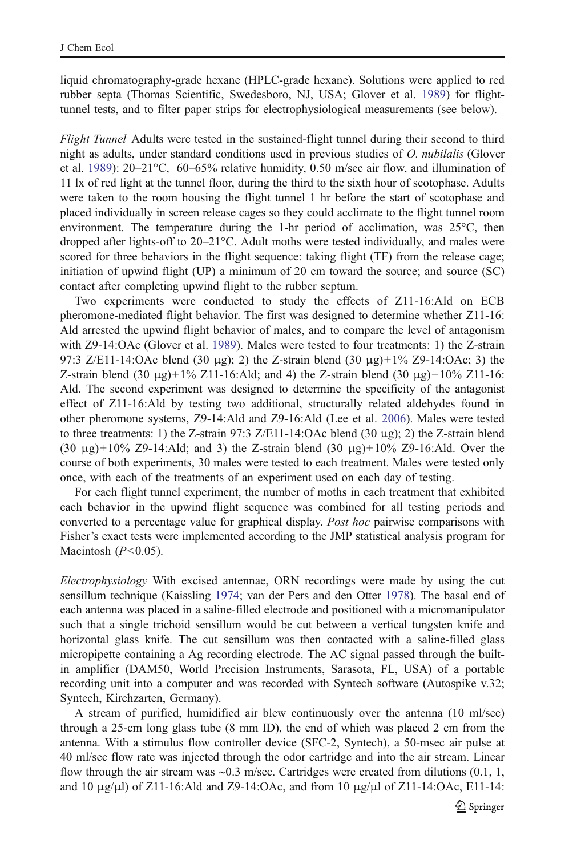liquid chromatography-grade hexane (HPLC-grade hexane). Solutions were applied to red rubber septa (Thomas Scientific, Swedesboro, NJ, USA; Glover et al. [1989](#page-11-0)) for flighttunnel tests, and to filter paper strips for electrophysiological measurements (see below).

Flight Tunnel Adults were tested in the sustained-flight tunnel during their second to third night as adults, under standard conditions used in previous studies of O. *nubilalis* (Glover et al. [1989](#page-11-0)): 20–21 $\degree$ C, 60–65% relative humidity, 0.50 m/sec air flow, and illumination of 11 lx of red light at the tunnel floor, during the third to the sixth hour of scotophase. Adults were taken to the room housing the flight tunnel 1 hr before the start of scotophase and placed individually in screen release cages so they could acclimate to the flight tunnel room environment. The temperature during the 1-hr period of acclimation, was  $25^{\circ}$ C, then dropped after lights-off to 20–21°C. Adult moths were tested individually, and males were scored for three behaviors in the flight sequence: taking flight (TF) from the release cage; initiation of upwind flight (UP) a minimum of 20 cm toward the source; and source (SC) contact after completing upwind flight to the rubber septum.

Two experiments were conducted to study the effects of Z11-16:Ald on ECB pheromone-mediated flight behavior. The first was designed to determine whether Z11-16: Ald arrested the upwind flight behavior of males, and to compare the level of antagonism with Z9-14:OAc (Glover et al. [1989\)](#page-11-0). Males were tested to four treatments: 1) the Z-strain 97:3 Z/E11-14:OAc blend (30 μg); 2) the Z-strain blend (30 μg)+1% Z9-14:OAc; 3) the Z-strain blend (30 μg)+1% Z11-16:Ald; and 4) the Z-strain blend (30 μg)+10% Z11-16: Ald. The second experiment was designed to determine the specificity of the antagonist effect of Z11-16:Ald by testing two additional, structurally related aldehydes found in other pheromone systems, Z9-14:Ald and Z9-16:Ald (Lee et al. [2006](#page-12-0)). Males were tested to three treatments: 1) the Z-strain 97:3 Z/E11-14:OAc blend (30  $\mu$ g); 2) the Z-strain blend (30 μg)+10% Z9-14:Ald; and 3) the Z-strain blend (30 μg)+10% Z9-16:Ald. Over the course of both experiments, 30 males were tested to each treatment. Males were tested only once, with each of the treatments of an experiment used on each day of testing.

For each flight tunnel experiment, the number of moths in each treatment that exhibited each behavior in the upwind flight sequence was combined for all testing periods and converted to a percentage value for graphical display. Post hoc pairwise comparisons with Fisher's exact tests were implemented according to the JMP statistical analysis program for Macintosh  $(P<0.05)$ .

Electrophysiology With excised antennae, ORN recordings were made by using the cut sensillum technique (Kaissling [1974](#page-12-0); van der Pers and den Otter [1978\)](#page-12-0). The basal end of each antenna was placed in a saline-filled electrode and positioned with a micromanipulator such that a single trichoid sensillum would be cut between a vertical tungsten knife and horizontal glass knife. The cut sensillum was then contacted with a saline-filled glass micropipette containing a Ag recording electrode. The AC signal passed through the builtin amplifier (DAM50, World Precision Instruments, Sarasota, FL, USA) of a portable recording unit into a computer and was recorded with Syntech software (Autospike v.32; Syntech, Kirchzarten, Germany).

A stream of purified, humidified air blew continuously over the antenna (10 ml/sec) through a 25-cm long glass tube (8 mm ID), the end of which was placed 2 cm from the antenna. With a stimulus flow controller device (SFC-2, Syntech), a 50-msec air pulse at 40 ml/sec flow rate was injected through the odor cartridge and into the air stream. Linear flow through the air stream was ∼0.3 m/sec. Cartridges were created from dilutions (0.1, 1, and 10  $\mu$ g/ $\mu$ l) of Z11-16:Ald and Z9-14:OAc, and from 10  $\mu$ g/ $\mu$ l of Z11-14:OAc, E11-14: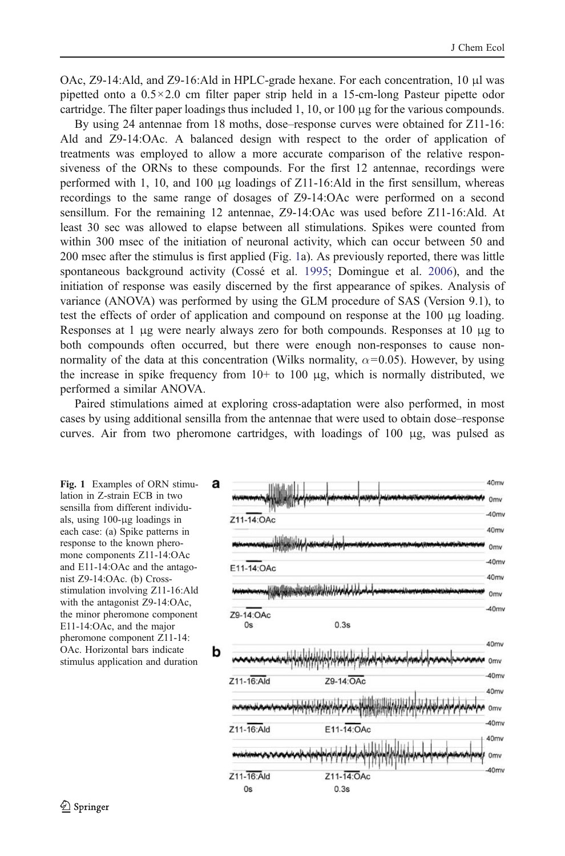<span id="page-3-0"></span>OAc, Z9-14:Ald, and Z9-16:Ald in HPLC-grade hexane. For each concentration, 10 μl was pipetted onto a  $0.5 \times 2.0$  cm filter paper strip held in a 15-cm-long Pasteur pipette odor cartridge. The filter paper loadings thus included 1, 10, or 100 μg for the various compounds.

By using 24 antennae from 18 moths, dose–response curves were obtained for Z11-16: Ald and Z9-14:OAc. A balanced design with respect to the order of application of treatments was employed to allow a more accurate comparison of the relative responsiveness of the ORNs to these compounds. For the first 12 antennae, recordings were performed with 1, 10, and 100  $\mu$ g loadings of Z11-16:Ald in the first sensillum, whereas recordings to the same range of dosages of Z9-14:OAc were performed on a second sensillum. For the remaining 12 antennae, Z9-14:OAc was used before Z11-16:Ald. At least 30 sec was allowed to elapse between all stimulations. Spikes were counted from within 300 msec of the initiation of neuronal activity, which can occur between 50 and 200 msec after the stimulus is first applied (Fig. 1a). As previously reported, there was little spontaneous background activity (Cossé et al. [1995;](#page-11-0) Domingue et al. [2006](#page-11-0)), and the initiation of response was easily discerned by the first appearance of spikes. Analysis of variance (ANOVA) was performed by using the GLM procedure of SAS (Version 9.1), to test the effects of order of application and compound on response at the 100 μg loading. Responses at 1 μg were nearly always zero for both compounds. Responses at 10 μg to both compounds often occurred, but there were enough non-responses to cause nonnormality of the data at this concentration (Wilks normality,  $\alpha$ =0.05). However, by using the increase in spike frequency from  $10<sup>+</sup>$  to  $100 \mu$ g, which is normally distributed, we performed a similar ANOVA.

Paired stimulations aimed at exploring cross-adaptation were also performed, in most cases by using additional sensilla from the antennae that were used to obtain dose–response curves. Air from two pheromone cartridges, with loadings of 100 μg, was pulsed as

Fig. 1 Examples of ORN stimulation in Z-strain ECB in two sensilla from different individuals, using 100-μg loadings in each case: (a) Spike patterns in response to the known pheromone components Z11-14:OAc and E11-14:OAc and the antagonist Z9-14:OAc. (b) Crossstimulation involving Z11-16:Ald with the antagonist Z9-14:OAc, the minor pheromone component E11-14:OAc, and the major pheromone component Z11-14: OAc. Horizontal bars indicate stimulus application and duration

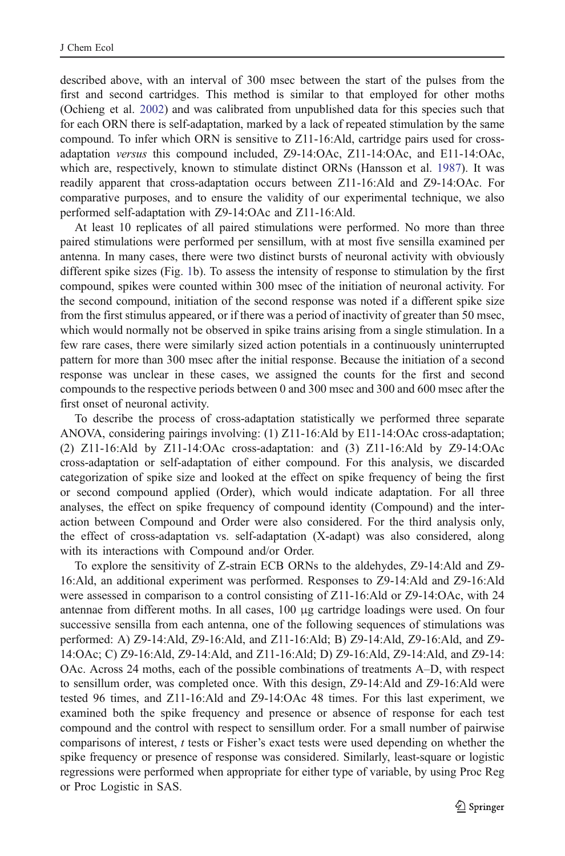described above, with an interval of 300 msec between the start of the pulses from the first and second cartridges. This method is similar to that employed for other moths (Ochieng et al. [2002\)](#page-12-0) and was calibrated from unpublished data for this species such that for each ORN there is self-adaptation, marked by a lack of repeated stimulation by the same compound. To infer which ORN is sensitive to Z11-16:Ald, cartridge pairs used for crossadaptation versus this compound included, Z9-14:OAc, Z11-14:OAc, and E11-14:OAc, which are, respectively, known to stimulate distinct ORNs (Hansson et al. [1987\)](#page-12-0). It was readily apparent that cross-adaptation occurs between Z11-16:Ald and Z9-14:OAc. For comparative purposes, and to ensure the validity of our experimental technique, we also performed self-adaptation with Z9-14:OAc and Z11-16:Ald.

At least 10 replicates of all paired stimulations were performed. No more than three paired stimulations were performed per sensillum, with at most five sensilla examined per antenna. In many cases, there were two distinct bursts of neuronal activity with obviously different spike sizes (Fig. [1](#page-3-0)b). To assess the intensity of response to stimulation by the first compound, spikes were counted within 300 msec of the initiation of neuronal activity. For the second compound, initiation of the second response was noted if a different spike size from the first stimulus appeared, or if there was a period of inactivity of greater than 50 msec, which would normally not be observed in spike trains arising from a single stimulation. In a few rare cases, there were similarly sized action potentials in a continuously uninterrupted pattern for more than 300 msec after the initial response. Because the initiation of a second response was unclear in these cases, we assigned the counts for the first and second compounds to the respective periods between 0 and 300 msec and 300 and 600 msec after the first onset of neuronal activity.

To describe the process of cross-adaptation statistically we performed three separate ANOVA, considering pairings involving: (1) Z11-16:Ald by E11-14:OAc cross-adaptation; (2) Z11-16:Ald by Z11-14:OAc cross-adaptation: and (3) Z11-16:Ald by Z9-14:OAc cross-adaptation or self-adaptation of either compound. For this analysis, we discarded categorization of spike size and looked at the effect on spike frequency of being the first or second compound applied (Order), which would indicate adaptation. For all three analyses, the effect on spike frequency of compound identity (Compound) and the interaction between Compound and Order were also considered. For the third analysis only, the effect of cross-adaptation vs. self-adaptation (X-adapt) was also considered, along with its interactions with Compound and/or Order.

To explore the sensitivity of Z-strain ECB ORNs to the aldehydes, Z9-14:Ald and Z9- 16:Ald, an additional experiment was performed. Responses to Z9-14:Ald and Z9-16:Ald were assessed in comparison to a control consisting of Z11-16:Ald or Z9-14:OAc, with 24 antennae from different moths. In all cases, 100 μg cartridge loadings were used. On four successive sensilla from each antenna, one of the following sequences of stimulations was performed: A) Z9-14:Ald, Z9-16:Ald, and Z11-16:Ald; B) Z9-14:Ald, Z9-16:Ald, and Z9- 14:OAc; C) Z9-16:Ald, Z9-14:Ald, and Z11-16:Ald; D) Z9-16:Ald, Z9-14:Ald, and Z9-14: OAc. Across 24 moths, each of the possible combinations of treatments A–D, with respect to sensillum order, was completed once. With this design, Z9-14:Ald and Z9-16:Ald were tested 96 times, and Z11-16:Ald and Z9-14:OAc 48 times. For this last experiment, we examined both the spike frequency and presence or absence of response for each test compound and the control with respect to sensillum order. For a small number of pairwise comparisons of interest, t tests or Fisher's exact tests were used depending on whether the spike frequency or presence of response was considered. Similarly, least-square or logistic regressions were performed when appropriate for either type of variable, by using Proc Reg or Proc Logistic in SAS.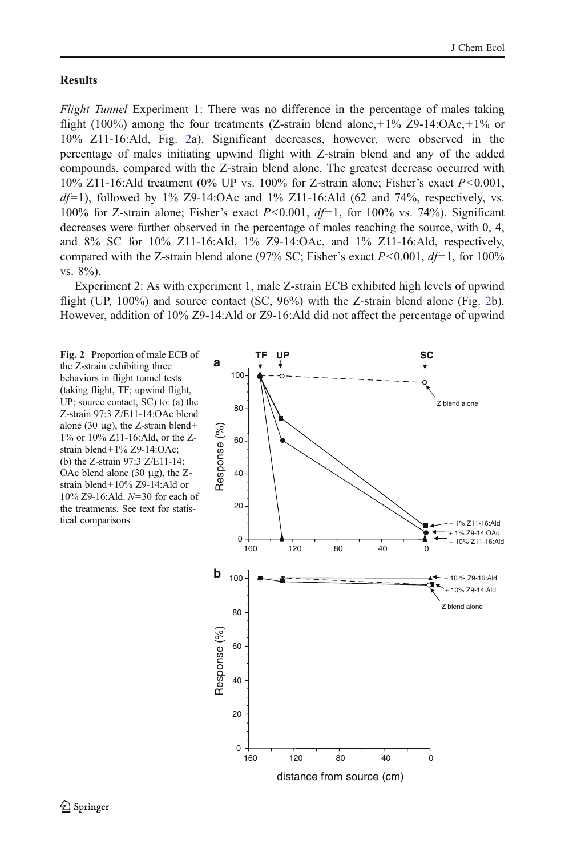#### <span id="page-5-0"></span>**Results**

Flight Tunnel Experiment 1: There was no difference in the percentage of males taking flight (100%) among the four treatments (Z-strain blend alone,  $+1\%$  Z9-14:OAc,  $+1\%$  or 10% Z11-16:Ald, Fig. 2a). Significant decreases, however, were observed in the percentage of males initiating upwind flight with Z-strain blend and any of the added compounds, compared with the Z-strain blend alone. The greatest decrease occurred with 10% Z11-16:Ald treatment (0% UP vs. 100% for Z-strain alone; Fisher's exact  $P < 0.001$ ,  $df=1$ ), followed by 1% Z9-14:OAc and 1% Z11-16:Ald (62 and 74%, respectively, vs. 100% for Z-strain alone; Fisher's exact  $P < 0.001$ ,  $df=1$ , for 100% vs. 74%). Significant decreases were further observed in the percentage of males reaching the source, with 0, 4, and 8% SC for 10% Z11-16:Ald, 1% Z9-14:OAc, and 1% Z11-16:Ald, respectively, compared with the Z-strain blend alone (97% SC; Fisher's exact  $P < 0.001$ ,  $df = 1$ , for 100% vs. 8%).

Experiment 2: As with experiment 1, male Z-strain ECB exhibited high levels of upwind flight (UP, 100%) and source contact (SC, 96%) with the Z-strain blend alone (Fig. 2b). However, addition of 10% Z9-14:Ald or Z9-16:Ald did not affect the percentage of upwind

Fig. 2 Proportion of male ECB of the Z-strain exhibiting three behaviors in flight tunnel tests (taking flight, TF; upwind flight, UP; source contact, SC) to: (a) the Z-strain 97:3 Z/E11-14:OAc blend alone (30  $\mu$ g), the Z-strain blend+ 1% or 10% Z11-16:Ald, or the Zstrain blend+1% Z9-14:OAc; (b) the Z-strain 97:3 Z/E11-14: OAc blend alone  $(30 \mu g)$ , the Zstrain blend+10% Z9-14:Ald or 10% Z9-16:Ald. N=30 for each of the treatments. See text for statistical comparisons

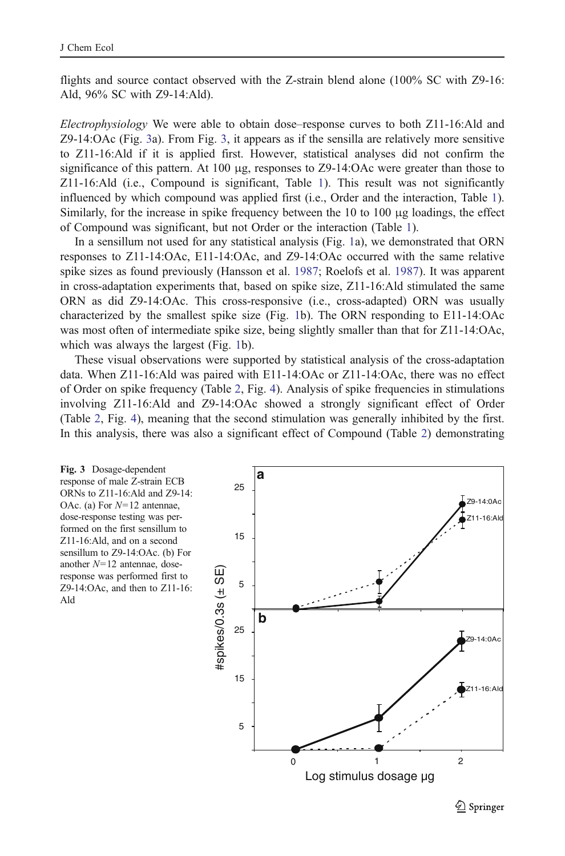flights and source contact observed with the Z-strain blend alone (100% SC with Z9-16: Ald, 96% SC with Z9-14:Ald).

Electrophysiology We were able to obtain dose–response curves to both Z11-16:Ald and Z9-14:OAc (Fig. 3a). From Fig. 3, it appears as if the sensilla are relatively more sensitive to Z11-16:Ald if it is applied first. However, statistical analyses did not confirm the significance of this pattern. At 100  $\mu$ g, responses to Z9-14:OAc were greater than those to Z11-16:Ald (i.e., Compound is significant, Table [1](#page-7-0)). This result was not significantly influenced by which compound was applied first (i.e., Order and the interaction, Table [1](#page-7-0)). Similarly, for the increase in spike frequency between the 10 to 100 μg loadings, the effect of Compound was significant, but not Order or the interaction (Table [1\)](#page-7-0).

In a sensillum not used for any statistical analysis (Fig. [1](#page-3-0)a), we demonstrated that ORN responses to Z11-14:OAc, E11-14:OAc, and Z9-14:OAc occurred with the same relative spike sizes as found previously (Hansson et al. [1987;](#page-12-0) Roelofs et al. [1987\)](#page-12-0). It was apparent in cross-adaptation experiments that, based on spike size, Z11-16:Ald stimulated the same ORN as did Z9-14:OAc. This cross-responsive (i.e., cross-adapted) ORN was usually characterized by the smallest spike size (Fig. [1b](#page-3-0)). The ORN responding to E11-14:OAc was most often of intermediate spike size, being slightly smaller than that for Z11-14:OAc, which was always the largest (Fig. [1b](#page-3-0)).

These visual observations were supported by statistical analysis of the cross-adaptation data. When Z11-16:Ald was paired with E11-14:OAc or Z11-14:OAc, there was no effect of Order on spike frequency (Table [2](#page-7-0), Fig. [4\)](#page-8-0). Analysis of spike frequencies in stimulations involving Z11-16:Ald and Z9-14:OAc showed a strongly significant effect of Order (Table [2](#page-7-0), Fig. [4](#page-8-0)), meaning that the second stimulation was generally inhibited by the first. In this analysis, there was also a significant effect of Compound (Table [2\)](#page-7-0) demonstrating



 $\mathcal{Q}$  Springer

Log stimulus dosage ug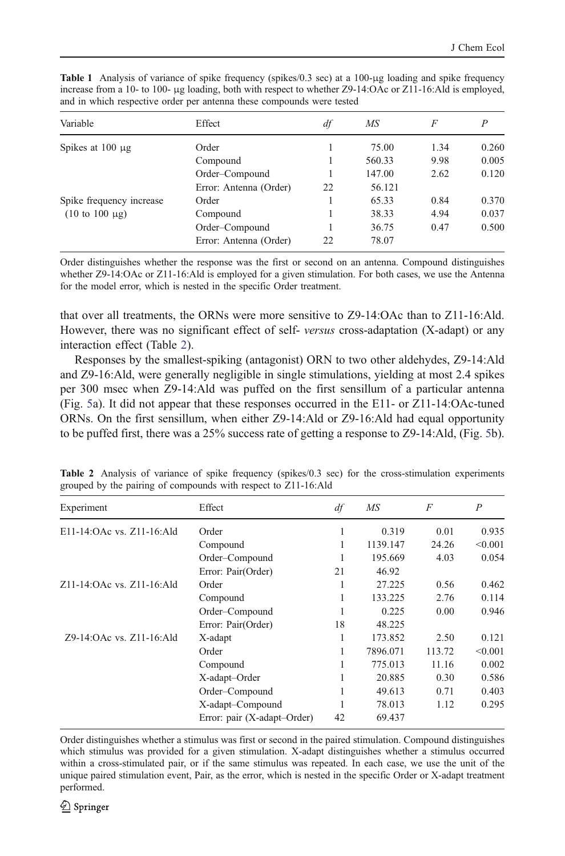| Variable                                                      | Effect                 | df | MS     | F    |       |
|---------------------------------------------------------------|------------------------|----|--------|------|-------|
| Spikes at $100 \mu$ g                                         | Order                  |    | 75.00  | 1.34 | 0.260 |
|                                                               | Compound               |    | 560.33 | 9.98 | 0.005 |
|                                                               | Order-Compound         |    | 147.00 | 2.62 | 0.120 |
|                                                               | Error: Antenna (Order) | 22 | 56.121 |      |       |
| Spike frequency increase<br>$(10 \text{ to } 100 \text{ µg})$ | Order                  |    | 65.33  | 0.84 | 0.370 |
|                                                               | Compound               |    | 38.33  | 4.94 | 0.037 |
|                                                               | Order-Compound         |    | 36.75  | 0.47 | 0.500 |
|                                                               | Error: Antenna (Order) | 22 | 78.07  |      |       |

<span id="page-7-0"></span>Table 1 Analysis of variance of spike frequency (spikes/0.3 sec) at a 100-μg loading and spike frequency increase from a 10- to 100- μg loading, both with respect to whether Z9-14:OAc or Z11-16:Ald is employed, and in which respective order per antenna these compounds were tested

Order distinguishes whether the response was the first or second on an antenna. Compound distinguishes whether Z9-14:OAc or Z11-16:Ald is employed for a given stimulation. For both cases, we use the Antenna for the model error, which is nested in the specific Order treatment.

that over all treatments, the ORNs were more sensitive to Z9-14:OAc than to Z11-16:Ald. However, there was no significant effect of self-versus cross-adaptation (X-adapt) or any interaction effect (Table 2).

Responses by the smallest-spiking (antagonist) ORN to two other aldehydes, Z9-14:Ald and Z9-16:Ald, were generally negligible in single stimulations, yielding at most 2.4 spikes per 300 msec when Z9-14:Ald was puffed on the first sensillum of a particular antenna (Fig. [5](#page-8-0)a). It did not appear that these responses occurred in the E11- or Z11-14:OAc-tuned ORNs. On the first sensillum, when either Z9-14:Ald or Z9-16:Ald had equal opportunity to be puffed first, there was a 25% success rate of getting a response to Z9-14:Ald, (Fig. [5](#page-8-0)b).

| Experiment                | Effect                      | df | MS       | F      | $\overline{P}$ |
|---------------------------|-----------------------------|----|----------|--------|----------------|
| E11-14:OAc vs. Z11-16:Ald | Order                       | 1  | 0.319    | 0.01   | 0.935          |
|                           | Compound                    |    | 1139.147 | 24.26  | < 0.001        |
|                           | Order-Compound              |    | 195.669  | 4.03   | 0.054          |
|                           | Error: Pair(Order)          | 21 | 46.92    |        |                |
| Z11-14:OAc vs. Z11-16:Ald | Order                       | 1  | 27.225   | 0.56   | 0.462          |
|                           | Compound                    | 1  | 133.225  | 2.76   | 0.114          |
|                           | Order-Compound              | ı  | 0.225    | 0.00   | 0.946          |
|                           | Error: Pair(Order)          | 18 | 48.225   |        |                |
| Z9-14:OAc vs. Z11-16:Ald  | X-adapt                     | 1  | 173.852  | 2.50   | 0.121          |
|                           | Order                       |    | 7896.071 | 113.72 | < 0.001        |
|                           | Compound                    |    | 775.013  | 11.16  | 0.002          |
|                           | X-adapt-Order               |    | 20.885   | 0.30   | 0.586          |
|                           | Order-Compound              | 1  | 49.613   | 0.71   | 0.403          |
|                           | X-adapt-Compound            |    | 78.013   | 1.12   | 0.295          |
|                           | Error: pair (X-adapt-Order) | 42 | 69.437   |        |                |

Table 2 Analysis of variance of spike frequency (spikes/0.3 sec) for the cross-stimulation experiments grouped by the pairing of compounds with respect to Z11-16:Ald

Order distinguishes whether a stimulus was first or second in the paired stimulation. Compound distinguishes which stimulus was provided for a given stimulation. X-adapt distinguishes whether a stimulus occurred within a cross-stimulated pair, or if the same stimulus was repeated. In each case, we use the unit of the unique paired stimulation event, Pair, as the error, which is nested in the specific Order or X-adapt treatment performed.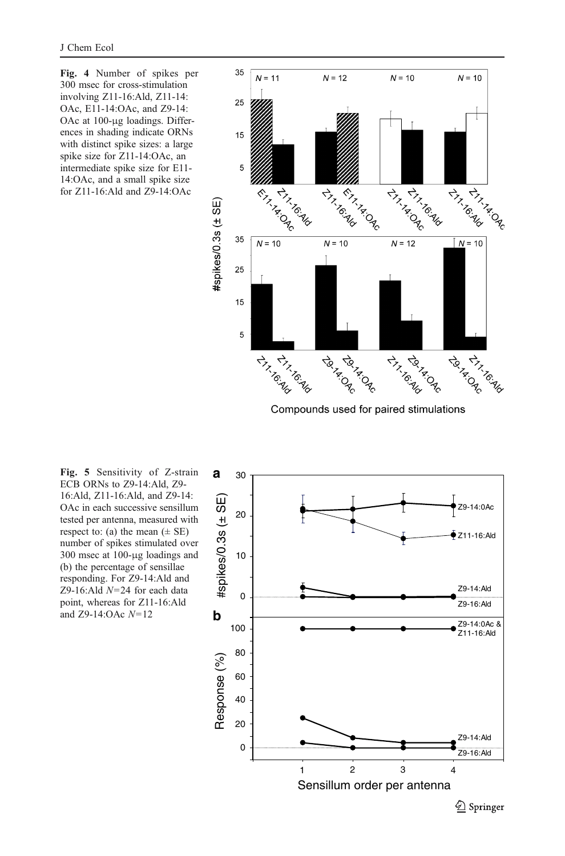<span id="page-8-0"></span>Fig. 4 Number of spikes per 300 msec for cross-stimulation involving Z11-16:Ald, Z11-14: OAc, E11-14:OAc, and Z9-14: OAc at 100-μg loadings. Differences in shading indicate ORNs with distinct spike sizes: a large spike size for Z11-14:OAc, an intermediate spike size for E11- 14:OAc, and a small spike size for Z11-16:Ald and Z9-14:OAc



Compounds used for paired stimulations

Fig. 5 Sensitivity of Z-strain ECB ORNs to Z9-14:Ald, Z9- 16:Ald, Z11-16:Ald, and Z9-14: OAc in each successive sensillum tested per antenna, measured with respect to: (a) the mean  $(\pm \text{ SE})$ number of spikes stimulated over 300 msec at 100-μg loadings and (b) the percentage of sensillae responding. For Z9-14:Ald and Z9-16:Ald  $N=24$  for each data point, whereas for Z11-16:Ald and Z9-14:OAc  $N=12$ 

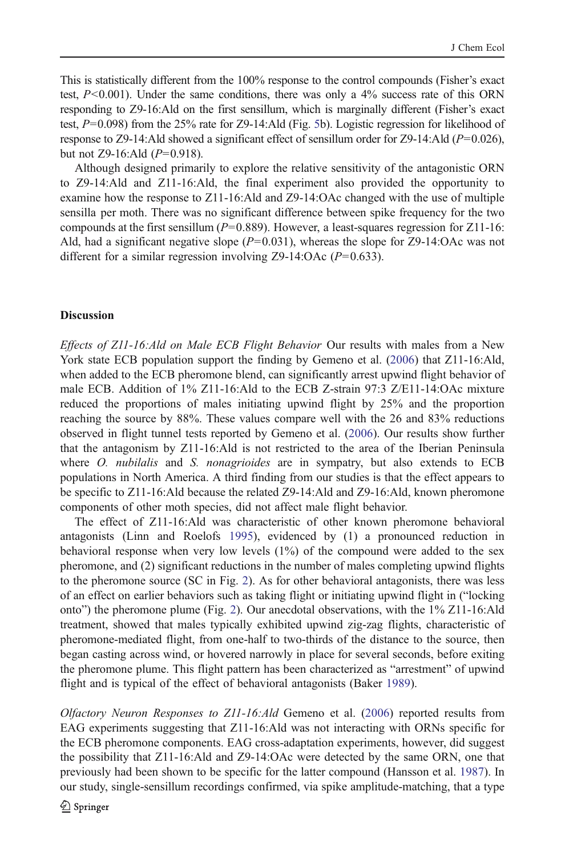This is statistically different from the 100% response to the control compounds (Fisher's exact test,  $P<0.001$ ). Under the same conditions, there was only a 4% success rate of this ORN responding to Z9-16:Ald on the first sensillum, which is marginally different (Fisher's exact test,  $P=0.098$ ) from the 2[5](#page-8-0)% rate for Z9-14:Ald (Fig. 5b). Logistic regression for likelihood of response to Z9-14:Ald showed a significant effect of sensillum order for Z9-14:Ald ( $P=0.026$ ), but not Z9-16:Ald  $(P=0.918)$ .

Although designed primarily to explore the relative sensitivity of the antagonistic ORN to Z9-14:Ald and Z11-16:Ald, the final experiment also provided the opportunity to examine how the response to Z11-16:Ald and Z9-14:OAc changed with the use of multiple sensilla per moth. There was no significant difference between spike frequency for the two compounds at the first sensillum ( $P=0.889$ ). However, a least-squares regression for Z11-16: Ald, had a significant negative slope  $(P=0.031)$ , whereas the slope for Z9-14:OAc was not different for a similar regression involving  $Z<sup>9</sup>-14$ :OAc ( $P=0.633$ ).

## **Discussion**

Effects of Z11-16:Ald on Male ECB Flight Behavior Our results with males from a New York state ECB population support the finding by Gemeno et al. ([2006\)](#page-11-0) that Z11-16:Ald, when added to the ECB pheromone blend, can significantly arrest upwind flight behavior of male ECB. Addition of 1% Z11-16:Ald to the ECB Z-strain 97:3 Z/E11-14:OAc mixture reduced the proportions of males initiating upwind flight by 25% and the proportion reaching the source by 88%. These values compare well with the 26 and 83% reductions observed in flight tunnel tests reported by Gemeno et al. [\(2006](#page-11-0)). Our results show further that the antagonism by Z11-16:Ald is not restricted to the area of the Iberian Peninsula where  $O$ . *nubilalis* and  $S$ . *nonagrioides* are in sympatry, but also extends to  $ECB$ populations in North America. A third finding from our studies is that the effect appears to be specific to Z11-16:Ald because the related Z9-14:Ald and Z9-16:Ald, known pheromone components of other moth species, did not affect male flight behavior.

The effect of Z11-16:Ald was characteristic of other known pheromone behavioral antagonists (Linn and Roelofs [1995](#page-12-0)), evidenced by (1) a pronounced reduction in behavioral response when very low levels (1%) of the compound were added to the sex pheromone, and (2) significant reductions in the number of males completing upwind flights to the pheromone source (SC in Fig. [2](#page-5-0)). As for other behavioral antagonists, there was less of an effect on earlier behaviors such as taking flight or initiating upwind flight in ("locking onto") the pheromone plume (Fig. [2\)](#page-5-0). Our anecdotal observations, with the 1% Z11-16:Ald treatment, showed that males typically exhibited upwind zig-zag flights, characteristic of pheromone-mediated flight, from one-half to two-thirds of the distance to the source, then began casting across wind, or hovered narrowly in place for several seconds, before exiting the pheromone plume. This flight pattern has been characterized as "arrestment" of upwind flight and is typical of the effect of behavioral antagonists (Baker [1989](#page-11-0)).

Olfactory Neuron Responses to Z11-16:Ald Gemeno et al. [\(2006](#page-11-0)) reported results from EAG experiments suggesting that Z11-16:Ald was not interacting with ORNs specific for the ECB pheromone components. EAG cross-adaptation experiments, however, did suggest the possibility that Z11-16:Ald and Z9-14:OAc were detected by the same ORN, one that previously had been shown to be specific for the latter compound (Hansson et al. [1987\)](#page-12-0). In our study, single-sensillum recordings confirmed, via spike amplitude-matching, that a type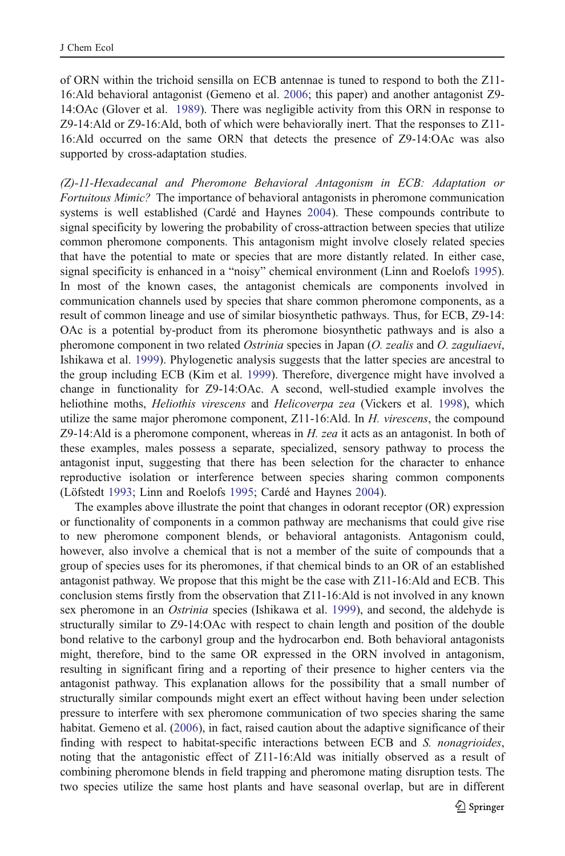of ORN within the trichoid sensilla on ECB antennae is tuned to respond to both the Z11- 16:Ald behavioral antagonist (Gemeno et al. [2006;](#page-11-0) this paper) and another antagonist Z9- 14:OAc (Glover et al. [1989\)](#page-11-0). There was negligible activity from this ORN in response to Z9-14:Ald or Z9-16:Ald, both of which were behaviorally inert. That the responses to Z11- 16:Ald occurred on the same ORN that detects the presence of Z9-14:OAc was also supported by cross-adaptation studies.

(Z)-11-Hexadecanal and Pheromone Behavioral Antagonism in ECB: Adaptation or Fortuitous Mimic? The importance of behavioral antagonists in pheromone communication systems is well established (Cardé and Haynes [2004](#page-11-0)). These compounds contribute to signal specificity by lowering the probability of cross-attraction between species that utilize common pheromone components. This antagonism might involve closely related species that have the potential to mate or species that are more distantly related. In either case, signal specificity is enhanced in a "noisy" chemical environment (Linn and Roelofs [1995](#page-12-0)). In most of the known cases, the antagonist chemicals are components involved in communication channels used by species that share common pheromone components, as a result of common lineage and use of similar biosynthetic pathways. Thus, for ECB, Z9-14: OAc is a potential by-product from its pheromone biosynthetic pathways and is also a pheromone component in two related *Ostrinia* species in Japan (O. zealis and O. zaguliaevi, Ishikawa et al. [1999\)](#page-12-0). Phylogenetic analysis suggests that the latter species are ancestral to the group including ECB (Kim et al. [1999](#page-12-0)). Therefore, divergence might have involved a change in functionality for Z9-14:OAc. A second, well-studied example involves the heliothine moths, *Heliothis virescens* and *Helicoverpa zea* (Vickers et al. [1998\)](#page-12-0), which utilize the same major pheromone component, Z11-16:Ald. In H. virescens, the compound Z9-14:Ald is a pheromone component, whereas in  $H$ . zea it acts as an antagonist. In both of these examples, males possess a separate, specialized, sensory pathway to process the antagonist input, suggesting that there has been selection for the character to enhance reproductive isolation or interference between species sharing common components (Löfstedt [1993](#page-12-0); Linn and Roelofs [1995](#page-12-0); Cardé and Haynes [2004\)](#page-11-0).

The examples above illustrate the point that changes in odorant receptor (OR) expression or functionality of components in a common pathway are mechanisms that could give rise to new pheromone component blends, or behavioral antagonists. Antagonism could, however, also involve a chemical that is not a member of the suite of compounds that a group of species uses for its pheromones, if that chemical binds to an OR of an established antagonist pathway. We propose that this might be the case with Z11-16:Ald and ECB. This conclusion stems firstly from the observation that Z11-16:Ald is not involved in any known sex pheromone in an Ostrinia species (Ishikawa et al. [1999](#page-12-0)), and second, the aldehyde is structurally similar to Z9-14:OAc with respect to chain length and position of the double bond relative to the carbonyl group and the hydrocarbon end. Both behavioral antagonists might, therefore, bind to the same OR expressed in the ORN involved in antagonism, resulting in significant firing and a reporting of their presence to higher centers via the antagonist pathway. This explanation allows for the possibility that a small number of structurally similar compounds might exert an effect without having been under selection pressure to interfere with sex pheromone communication of two species sharing the same habitat. Gemeno et al. [\(2006](#page-11-0)), in fact, raised caution about the adaptive significance of their finding with respect to habitat-specific interactions between ECB and S. nonagrioides, noting that the antagonistic effect of Z11-16:Ald was initially observed as a result of combining pheromone blends in field trapping and pheromone mating disruption tests. The two species utilize the same host plants and have seasonal overlap, but are in different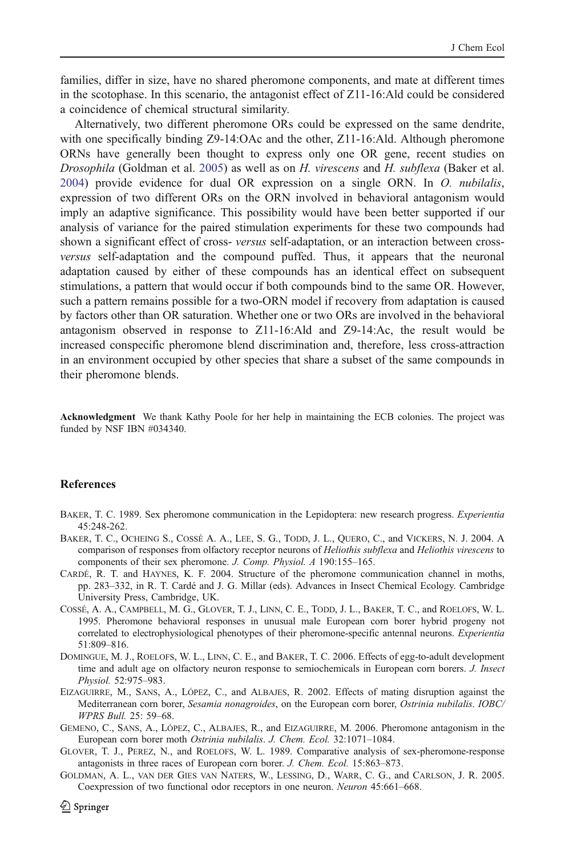<span id="page-11-0"></span>families, differ in size, have no shared pheromone components, and mate at different times in the scotophase. In this scenario, the antagonist effect of Z11-16:Ald could be considered a coincidence of chemical structural similarity.

Alternatively, two different pheromone ORs could be expressed on the same dendrite, with one specifically binding Z9-14:OAc and the other, Z11-16:Ald. Although pheromone ORNs have generally been thought to express only one OR gene, recent studies on Drosophila (Goldman et al. 2005) as well as on H. virescens and H. subflexa (Baker et al. 2004) provide evidence for dual OR expression on a single ORN. In O. nubilalis, expression of two different ORs on the ORN involved in behavioral antagonism would imply an adaptive significance. This possibility would have been better supported if our analysis of variance for the paired stimulation experiments for these two compounds had shown a significant effect of cross- versus self-adaptation, or an interaction between crossversus self-adaptation and the compound puffed. Thus, it appears that the neuronal adaptation caused by either of these compounds has an identical effect on subsequent stimulations, a pattern that would occur if both compounds bind to the same OR. However, such a pattern remains possible for a two-ORN model if recovery from adaptation is caused by factors other than OR saturation. Whether one or two ORs are involved in the behavioral antagonism observed in response to Z11-16:Ald and Z9-14:Ac, the result would be increased conspecific pheromone blend discrimination and, therefore, less cross-attraction in an environment occupied by other species that share a subset of the same compounds in their pheromone blends.

Acknowledgment We thank Kathy Poole for her help in maintaining the ECB colonies. The project was funded by NSF IBN #034340.

## **References**

- BAKER, T. C. 1989. Sex pheromone communication in the Lepidoptera: new research progress. Experientia 45:248-262.
- BAKER, T. C., OCHEING S., COSSÉ A. A., LEE, S. G., TODD, J. L., QUERO, C., and VICKERS, N. J. 2004. A comparison of responses from olfactory receptor neurons of Heliothis subflexa and Heliothis virescens to components of their sex pheromone. J. Comp. Physiol. A 190:155–165.
- CARDÉ, R. T. and HAYNES, K. F. 2004. Structure of the pheromone communication channel in moths, pp. 283–332, in R. T. Cardé and J. G. Millar (eds). Advances in Insect Chemical Ecology. Cambridge University Press, Cambridge, UK.
- COSSÉ, A. A., CAMPBELL, M. G., GLOVER, T. J., LINN, C. E., TODD, J. L., BAKER, T. C., and ROELOFS, W. L. 1995. Pheromone behavioral responses in unusual male European corn borer hybrid progeny not correlated to electrophysiological phenotypes of their pheromone-specific antennal neurons. Experientia 51:809–816.
- DOMINGUE, M. J., ROELOFS, W. L., LINN, C. E., and BAKER, T. C. 2006. Effects of egg-to-adult development time and adult age on olfactory neuron response to semiochemicals in European corn borers. J. Insect Physiol. 52:975–983.
- EIZAGUIRRE, M., SANS, A., LÓPEZ, C., and ALBAJES, R. 2002. Effects of mating disruption against the Mediterranean corn borer, Sesamia nonagroides, on the European corn borer, Ostrinia nubilalis. IOBC/ WPRS Bull. 25: 59–68.
- GEMENO, C., SANS, A., LÓPEZ, C., ALBAJES, R., and EIZAGUIRRE, M. 2006. Pheromone antagonism in the European corn borer moth Ostrinia nubilalis. J. Chem. Ecol. 32:1071–1084.
- GLOVER, T. J., PEREZ, N., and ROELOFS, W. L. 1989. Comparative analysis of sex-pheromone-response antagonists in three races of European corn borer. J. Chem. Ecol. 15:863–873.
- GOLDMAN, A. L., VAN DER GIES VAN NATERS, W., LESSING, D., WARR, C. G., and CARLSON, J. R. 2005. Coexpression of two functional odor receptors in one neuron. Neuron 45:661–668.

 $\mathcal{Q}$  Springer